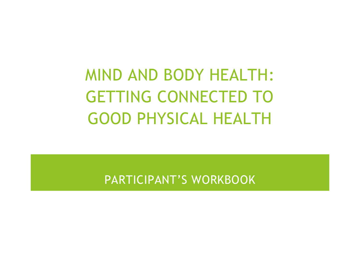MIND AND BODY HEALTH: GETTING CONNECTED TO GOOD PHYSICAL HEALTH

PARTICIPANT'S WORKBOOK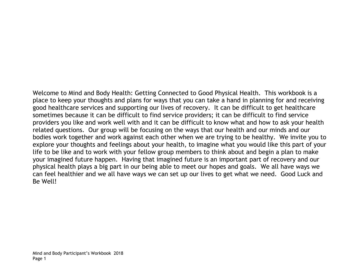Welcome to Mind and Body Health: Getting Connected to Good Physical Health. This workbook is a place to keep your thoughts and plans for ways that you can take a hand in planning for and receiving good healthcare services and supporting our lives of recovery. It can be difficult to get healthcare sometimes because it can be difficult to find service providers; it can be difficult to find service providers you like and work well with and it can be difficult to know what and how to ask your health related questions. Our group will be focusing on the ways that our health and our minds and our bodies work together and work against each other when we are trying to be healthy. We invite you to explore your thoughts and feelings about your health, to imagine what you would like this part of your life to be like and to work with your fellow group members to think about and begin a plan to make your imagined future happen. Having that imagined future is an important part of recovery and our physical health plays a big part in our being able to meet our hopes and goals. We all have ways we can feel healthier and we all have ways we can set up our lives to get what we need. Good Luck and Be Well!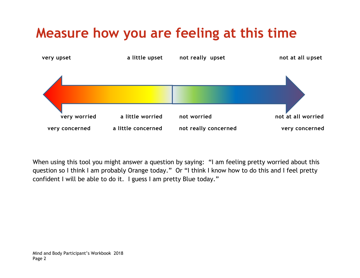# **Measure how you are feeling at this time**



When using this tool you might answer a question by saying: "I am feeling pretty worried about this question so I think I am probably Orange today." Or "I think I know how to do this and I feel pretty confident I will be able to do it. I guess I am pretty Blue today."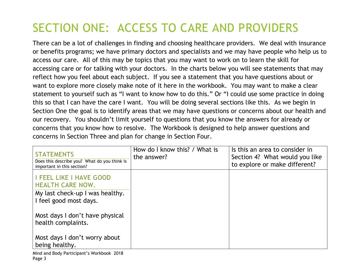# SECTION ONE: ACCESS TO CARE AND PROVIDERS

There can be a lot of challenges in finding and choosing healthcare providers. We deal with insurance or benefits programs; we have primary doctors and specialists and we may have people who help us to access our care. All of this may be topics that you may want to work on to learn the skill for accessing care or for talking with your doctors. In the charts below you will see statements that may reflect how you feel about each subject. If you see a statement that you have questions about or want to explore more closely make note of it here in the workbook. You may want to make a clear statement to yourself such as "I want to know how to do this." Or "I could use some practice in doing this so that I can have the care I want. You will be doing several sections like this. As we begin in Section One the goal is to identify areas that we may have questions or concerns about our health and our recovery. You shouldn't limit yourself to questions that you know the answers for already or concerns that you know how to resolve. The Workbook is designed to help answer questions and concerns in Section Three and plan for change in Section Four.

| <b>STATEMENTS</b><br>Does this describe you? What do you think is<br>important in this section?                        | How do I know this? / What is<br>the answer? | Is this an area to consider in<br>Section 4? What would you like<br>to explore or make different? |
|------------------------------------------------------------------------------------------------------------------------|----------------------------------------------|---------------------------------------------------------------------------------------------------|
| <b>I FEEL LIKE I HAVE GOOD</b><br><b>HEALTH CARE NOW.</b><br>My last check-up I was healthy.<br>I feel good most days. |                                              |                                                                                                   |
| Most days I don't have physical<br>health complaints.                                                                  |                                              |                                                                                                   |
| Most days I don't worry about<br>being healthy.                                                                        |                                              |                                                                                                   |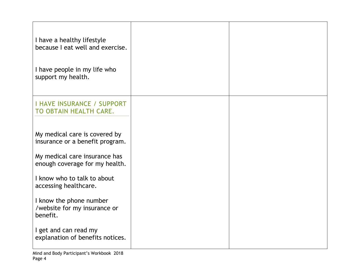| I have a healthy lifestyle<br>because I eat well and exercise.      |  |
|---------------------------------------------------------------------|--|
| I have people in my life who<br>support my health.                  |  |
| <b>I HAVE INSURANCE / SUPPORT</b><br>TO OBTAIN HEALTH CARE.         |  |
| My medical care is covered by<br>insurance or a benefit program.    |  |
| My medical care insurance has<br>enough coverage for my health.     |  |
| I know who to talk to about<br>accessing healthcare.                |  |
| I know the phone number<br>/website for my insurance or<br>benefit. |  |
| I get and can read my<br>explanation of benefits notices.           |  |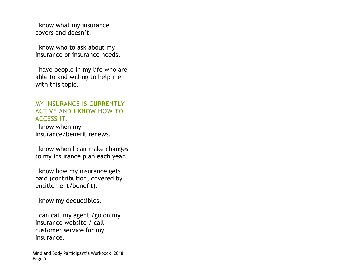| I know what my insurance<br>covers and doesn't.<br>I know who to ask about my<br>insurance or insurance needs.<br>I have people in my life who are<br>able to and willing to help me<br>with this topic. |  |
|----------------------------------------------------------------------------------------------------------------------------------------------------------------------------------------------------------|--|
| <b>MY INSURANCE IS CURRENTLY</b><br><b>ACTIVE AND I KNOW HOW TO</b><br><b>ACCESS IT.</b><br>I know when my<br>insurance/benefit renews.                                                                  |  |
| I know when I can make changes<br>to my insurance plan each year.<br>I know how my insurance gets<br>paid (contribution, covered by                                                                      |  |
| entitlement/benefit).<br>I know my deductibles.<br>I can call my agent / go on my<br>insurance website / call<br>customer service for my                                                                 |  |
| insurance.                                                                                                                                                                                               |  |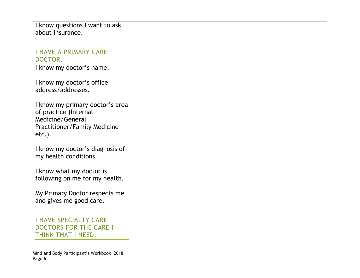| I know questions I want to ask<br>about insurance.                                                                        |  |
|---------------------------------------------------------------------------------------------------------------------------|--|
| <b>I HAVE A PRIMARY CARE</b><br>DOCTOR.                                                                                   |  |
| I know my doctor's name.                                                                                                  |  |
| I know my doctor's office<br>address/addresses.                                                                           |  |
| I know my primary doctor's area<br>of practice (Internal<br>Medicine/General<br>Practitioner/Family Medicine<br>$etc.$ ). |  |
| I know my doctor's diagnosis of<br>my health conditions.                                                                  |  |
| I know what my doctor is<br>following on me for my health.                                                                |  |
| My Primary Doctor respects me<br>and gives me good care.                                                                  |  |
| <b>I HAVE SPECIALTY CARE</b><br><b>DOCTORS FOR THE CARE I</b><br>THINK THAT I NEED.                                       |  |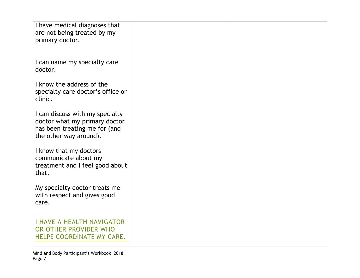| I have medical diagnoses that                                    |  |
|------------------------------------------------------------------|--|
| are not being treated by my                                      |  |
| primary doctor.                                                  |  |
|                                                                  |  |
|                                                                  |  |
| I can name my specialty care                                     |  |
| doctor.                                                          |  |
|                                                                  |  |
| I know the address of the                                        |  |
| specialty care doctor's office or                                |  |
| clinic.                                                          |  |
|                                                                  |  |
| I can discuss with my specialty<br>doctor what my primary doctor |  |
| has been treating me for (and                                    |  |
| the other way around).                                           |  |
|                                                                  |  |
| I know that my doctors                                           |  |
| communicate about my                                             |  |
| treatment and I feel good about                                  |  |
| that.                                                            |  |
|                                                                  |  |
| My specialty doctor treats me                                    |  |
| with respect and gives good                                      |  |
| care.                                                            |  |
|                                                                  |  |
| <b>I HAVE A HEALTH NAVIGATOR</b>                                 |  |
| OR OTHER PROVIDER WHO                                            |  |
| HELPS COORDINATE MY CARE.                                        |  |
|                                                                  |  |
|                                                                  |  |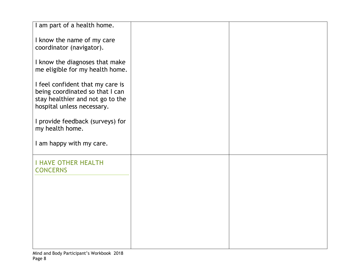| I am part of a health home.                                                                                                           |  |
|---------------------------------------------------------------------------------------------------------------------------------------|--|
| I know the name of my care<br>coordinator (navigator).                                                                                |  |
| I know the diagnoses that make<br>me eligible for my health home.                                                                     |  |
| I feel confident that my care is<br>being coordinated so that I can<br>stay healthier and not go to the<br>hospital unless necessary. |  |
| I provide feedback (surveys) for<br>my health home.                                                                                   |  |
| I am happy with my care.                                                                                                              |  |
| <b>I HAVE OTHER HEALTH</b><br><b>CONCERNS</b>                                                                                         |  |
|                                                                                                                                       |  |
|                                                                                                                                       |  |
|                                                                                                                                       |  |
|                                                                                                                                       |  |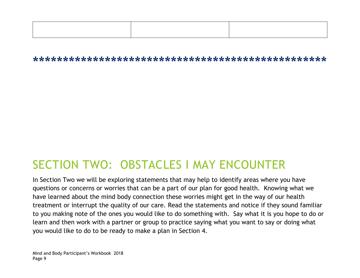\*\*\*\*\*\*\*\*\*\*\*\*\*\*\*\*\*\*\*\*\*\*\*\*\*\*\*\*\*\*\*\*\*\*\*\*\*\*\*\*\*\*\*\*\*\*\*\*\*

### SECTION TWO: OBSTACLES I MAY ENCOUNTER

In Section Two we will be exploring statements that may help to identify areas where you have questions or concerns or worries that can be a part of our plan for good health. Knowing what we have learned about the mind body connection these worries might get in the way of our health treatment or interrupt the quality of our care. Read the statements and notice if they sound familiar to you making note of the ones you would like to do something with. Say what it is you hope to do or learn and then work with a partner or group to practice saying what you want to say or doing what you would like to do to be ready to make a plan in Section 4.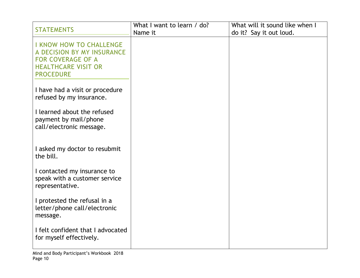| <b>STATEMENTS</b>                                                                                                                          | What I want to learn / do? | What will it sound like when I |
|--------------------------------------------------------------------------------------------------------------------------------------------|----------------------------|--------------------------------|
|                                                                                                                                            | Name it                    | do it? Say it out loud.        |
| <b>I KNOW HOW TO CHALLENGE</b><br>A DECISION BY MY INSURANCE<br><b>FOR COVERAGE OF A</b><br><b>HEALTHCARE VISIT OR</b><br><b>PROCEDURE</b> |                            |                                |
| I have had a visit or procedure<br>refused by my insurance.                                                                                |                            |                                |
| I learned about the refused<br>payment by mail/phone<br>call/electronic message.                                                           |                            |                                |
| I asked my doctor to resubmit<br>the bill.                                                                                                 |                            |                                |
| I contacted my insurance to<br>speak with a customer service<br>representative.                                                            |                            |                                |
| I protested the refusal in a<br>letter/phone call/electronic<br>message.                                                                   |                            |                                |
| I felt confident that I advocated<br>for myself effectively.                                                                               |                            |                                |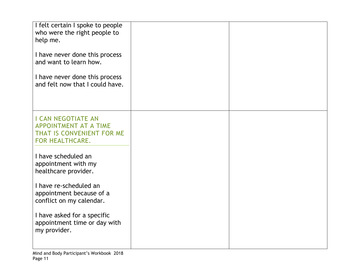| I felt certain I spoke to people<br>who were the right people to<br>help me.                       |  |
|----------------------------------------------------------------------------------------------------|--|
| I have never done this process<br>and want to learn how.                                           |  |
| I have never done this process<br>and felt now that I could have.                                  |  |
| I CAN NEGOTIATE AN<br><b>APPOINTMENT AT A TIME</b><br>THAT IS CONVENIENT FOR ME<br>FOR HEALTHCARE. |  |
| I have scheduled an<br>appointment with my<br>healthcare provider.                                 |  |
| I have re-scheduled an<br>appointment because of a<br>conflict on my calendar.                     |  |
| I have asked for a specific<br>appointment time or day with<br>my provider.                        |  |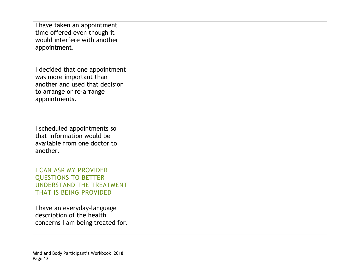| I have taken an appointment<br>time offered even though it<br>would interfere with another<br>appointment.                               |  |
|------------------------------------------------------------------------------------------------------------------------------------------|--|
| I decided that one appointment<br>was more important than<br>another and used that decision<br>to arrange or re-arrange<br>appointments. |  |
| I scheduled appointments so<br>that information would be<br>available from one doctor to<br>another.                                     |  |
| <b>I CAN ASK MY PROVIDER</b><br><b>QUESTIONS TO BETTER</b><br>UNDERSTAND THE TREATMENT<br>THAT IS BEING PROVIDED                         |  |
| I have an everyday-language<br>description of the health<br>concerns I am being treated for.                                             |  |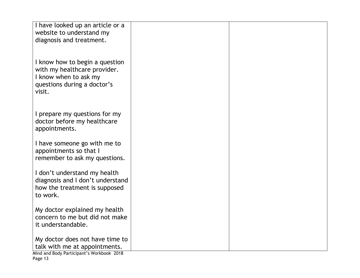| I have looked up an article or a<br>website to understand my<br>diagnosis and treatment.                                         |  |
|----------------------------------------------------------------------------------------------------------------------------------|--|
| I know how to begin a question<br>with my healthcare provider.<br>I know when to ask my<br>questions during a doctor's<br>visit. |  |
| I prepare my questions for my<br>doctor before my healthcare<br>appointments.                                                    |  |
| I have someone go with me to<br>appointments so that I<br>remember to ask my questions.                                          |  |
| I don't understand my health<br>diagnosis and I don't understand<br>how the treatment is supposed<br>to work.                    |  |
| My doctor explained my health<br>concern to me but did not make<br>it understandable.                                            |  |
| My doctor does not have time to<br>talk with me at appointments.<br>Mind and Body Participant's Workbook 2018                    |  |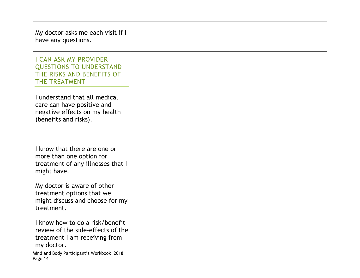| My doctor asks me each visit if I<br>have any questions.                                                              |  |
|-----------------------------------------------------------------------------------------------------------------------|--|
| <b>I CAN ASK MY PROVIDER</b><br><b>QUESTIONS TO UNDERSTAND</b><br>THE RISKS AND BENEFITS OF<br>THE TREATMENT          |  |
| I understand that all medical<br>care can have positive and<br>negative effects on my health<br>(benefits and risks). |  |
| I know that there are one or<br>more than one option for<br>treatment of any illnesses that I<br>might have.          |  |
| My doctor is aware of other<br>treatment options that we<br>might discuss and choose for my<br>treatment.             |  |
| I know how to do a risk/benefit<br>review of the side-effects of the<br>treatment I am receiving from<br>my doctor.   |  |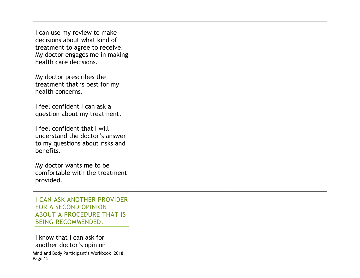| I can use my review to make<br>decisions about what kind of<br>treatment to agree to receive.<br>My doctor engages me in making<br>health care decisions.<br>My doctor prescribes the |  |
|---------------------------------------------------------------------------------------------------------------------------------------------------------------------------------------|--|
| treatment that is best for my<br>health concerns.                                                                                                                                     |  |
| I feel confident I can ask a<br>question about my treatment.                                                                                                                          |  |
| I feel confident that I will<br>understand the doctor's answer<br>to my questions about risks and<br>benefits.                                                                        |  |
| My doctor wants me to be<br>comfortable with the treatment<br>provided.                                                                                                               |  |
| <b>I CAN ASK ANOTHER PROVIDER</b><br><b>FOR A SECOND OPINION</b>                                                                                                                      |  |
| <b>ABOUT A PROCEDURE THAT IS</b><br><b>BEING RECOMMENDED.</b>                                                                                                                         |  |
| I know that I can ask for<br>another doctor's opinion                                                                                                                                 |  |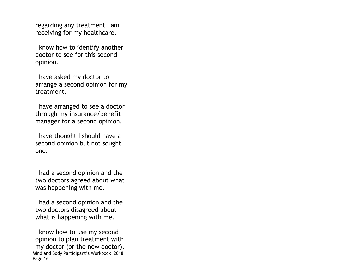| regarding any treatment I am<br>receiving for my healthcare.                                                                                 |  |
|----------------------------------------------------------------------------------------------------------------------------------------------|--|
| I know how to identify another<br>doctor to see for this second<br>opinion.                                                                  |  |
| I have asked my doctor to<br>arrange a second opinion for my<br>treatment.                                                                   |  |
| I have arranged to see a doctor<br>through my insurance/benefit<br>manager for a second opinion.                                             |  |
| I have thought I should have a<br>second opinion but not sought<br>one.                                                                      |  |
| I had a second opinion and the<br>two doctors agreed about what<br>was happening with me.                                                    |  |
| I had a second opinion and the<br>two doctors disagreed about<br>what is happening with me.                                                  |  |
| I know how to use my second<br>opinion to plan treatment with<br>my doctor (or the new doctor).<br>Mind and Pody Participant's Workhook 2019 |  |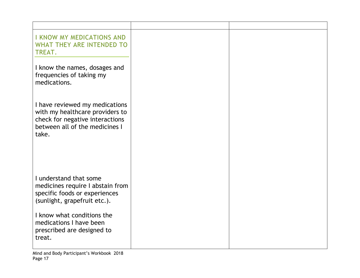| I KNOW MY MEDICATIONS AND<br><b>WHAT THEY ARE INTENDED TO</b><br>TREAT.                                                                         |  |
|-------------------------------------------------------------------------------------------------------------------------------------------------|--|
| I know the names, dosages and<br>frequencies of taking my<br>medications.                                                                       |  |
| I have reviewed my medications<br>with my healthcare providers to<br>check for negative interactions<br>between all of the medicines I<br>take. |  |
| I understand that some<br>medicines require I abstain from<br>specific foods or experiences<br>(sunlight, grapefruit etc.).                     |  |
| I know what conditions the<br>medications I have been<br>prescribed are designed to<br>treat.                                                   |  |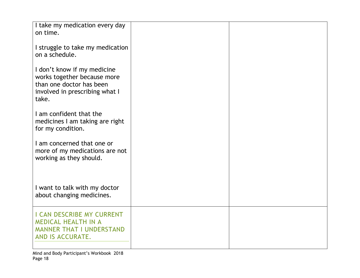| I take my medication every day<br>on time.                                                                                        |  |
|-----------------------------------------------------------------------------------------------------------------------------------|--|
| I struggle to take my medication<br>on a schedule.                                                                                |  |
| I don't know if my medicine<br>works together because more<br>than one doctor has been<br>involved in prescribing what I<br>take. |  |
| I am confident that the<br>medicines I am taking are right<br>for my condition.                                                   |  |
| I am concerned that one or<br>more of my medications are not<br>working as they should.                                           |  |
| I want to talk with my doctor<br>about changing medicines.                                                                        |  |
| I CAN DESCRIBE MY CURRENT<br><b>MEDICAL HEALTH IN A</b><br><b>MANNER THAT I UNDERSTAND</b><br>AND IS ACCURATE.                    |  |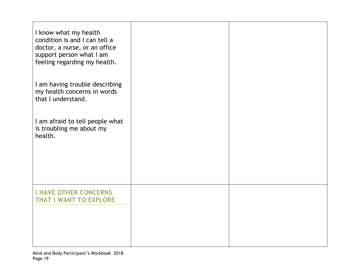| I know what my health<br>condition is and I can tell a<br>doctor, a nurse, or an office<br>support person what I am<br>feeling regarding my health. |  |
|-----------------------------------------------------------------------------------------------------------------------------------------------------|--|
| I am having trouble describing<br>my health concerns in words<br>that I understand.                                                                 |  |
| I am afraid to tell people what<br>is troubling me about my<br>health.                                                                              |  |
|                                                                                                                                                     |  |
| <b>I HAVE OTHER CONCERNS</b><br>THAT I WANT TO EXPLORE                                                                                              |  |
|                                                                                                                                                     |  |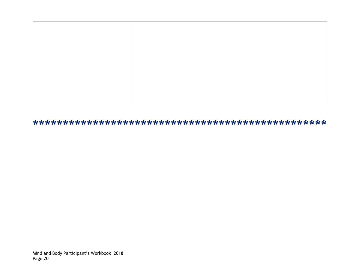\*\*\*\*\*\*\*\*\*\*\*\*\*\*\*\*\*\*\*\*\*\*\*\*\*\*\*\*\*\*\*\*\*\*\*\*\*\*\*\*\*\*\*\*\*\*\*\*\*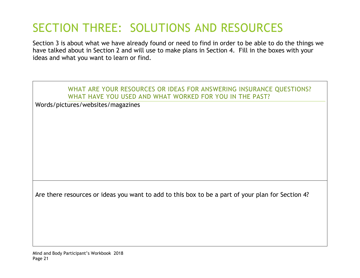## SECTION THREE: SOLUTIONS AND RESOURCES

Section 3 is about what we have already found or need to find in order to be able to do the things we have talked about in Section 2 and will use to make plans in Section 4. Fill in the boxes with your ideas and what you want to learn or find.



Words/pictures/websites/magazines

Are there resources or ideas you want to add to this box to be a part of your plan for Section 4?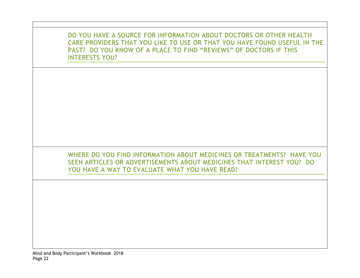DO YOU HAVE A SOURCE FOR INFORMATION ABOUT DOCTORS OR OTHER HEALTH CARE PROVIDERS THAT YOU LIKE TO USE OR THAT YOU HAVE FOUND USEFUL IN THE PAST? DO YOU KNOW OF A PLACE TO FIND "REVIEWS" OF DOCTORS IF THIS INTERESTS YOU? WHERE DO YOU FIND INFORMATION ABOUT MEDICINES OR TREATMENTS? HAVE YOU SEEN ARTICLES OR ADVERTISEMENTS ABOUT MEDICINES THAT INTEREST YOU? DO YOU HAVE A WAY TO EVALUATE WHAT YOU HAVE READ?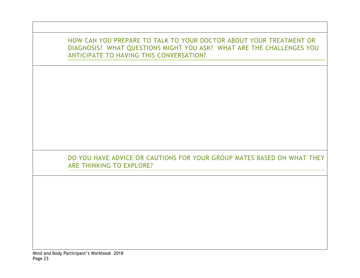HOW CAN YOU PREPARE TO TALK TO YOUR DOCTOR ABOUT YOUR TREATMENT OR DIAGNOSIS? WHAT QUESTIONS MIGHT YOU ASK? WHAT ARE THE CHALLENGES YOU ANTICIPATE TO HAVING THIS CONVERSATION?

#### DO YOU HAVE ADVICE OR CAUTIONS FOR YOUR GROUP MATES BASED ON WHAT THEY ARE THINKING TO EXPLORE?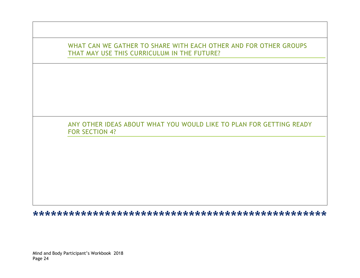

ANY OTHER IDEAS ABOUT WHAT YOU WOULD LIKE TO PLAN FOR GETTING READY FOR SECTION 4?

\*\*\*\*\*\*\*\*\*\*\*\*\*\*\*\*\*\*\*\*\*\*\*\*\*\*\*\*\*\*\*\*\*\*\*\*\*\*\*\*\*\*\*\*\*\*\*\*\*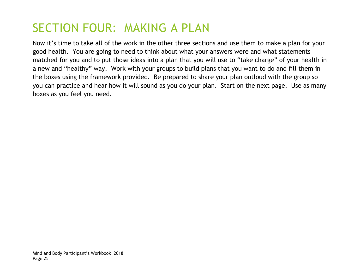## SECTION FOUR: MAKING A PLAN

Now it's time to take all of the work in the other three sections and use them to make a plan for your good health. You are going to need to think about what your answers were and what statements matched for you and to put those ideas into a plan that you will use to "take charge" of your health in a new and "healthy" way. Work with your groups to build plans that you want to do and fill them in the boxes using the framework provided. Be prepared to share your plan outloud with the group so you can practice and hear how it will sound as you do your plan. Start on the next page. Use as many boxes as you feel you need.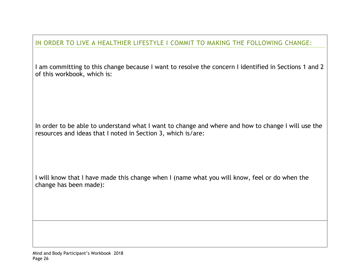|  |  |  |  | IN ORDER TO LIVE A HEALTHIER LIFESTYLE I COMMIT TO MAKING THE FOLLOWING CHANGE:                       |  |
|--|--|--|--|-------------------------------------------------------------------------------------------------------|--|
|  |  |  |  |                                                                                                       |  |
|  |  |  |  |                                                                                                       |  |
|  |  |  |  | I am committing to this change because I want to resolve the concern I identified in Sections 1 and 2 |  |

In order to be able to understand what I want to change and where and how to change I will use the resources and ideas that I noted in Section 3, which is/are:

I will know that I have made this change when I (name what you will know, feel or do when the change has been made):

of this workbook, which is: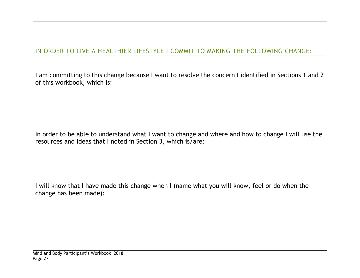| IN ORDER TO LIVE A HEALTHIER LIFESTYLE I COMMIT TO MAKING THE FOLLOWING CHANGE: |  |  |  |  |  |
|---------------------------------------------------------------------------------|--|--|--|--|--|
|---------------------------------------------------------------------------------|--|--|--|--|--|

I am committing to this change because I want to resolve the concern I identified in Sections 1 and 2 of this workbook, which is:

In order to be able to understand what I want to change and where and how to change I will use the resources and ideas that I noted in Section 3, which is/are:

I will know that I have made this change when I (name what you will know, feel or do when the change has been made):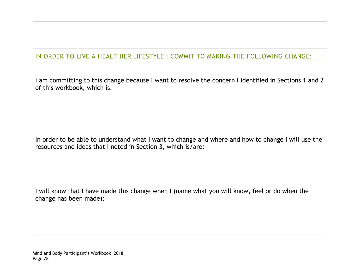### IN ORDER TO LIVE A HEALTHIER LIFESTYLE I COMMIT TO MAKING THE FOLLOWING CHANGE:

I am committing to this change because I want to resolve the concern I identified in Sections 1 and 2 of this workbook, which is:

In order to be able to understand what I want to change and where and how to change I will use the resources and ideas that I noted in Section 3, which is/are:

I will know that I have made this change when I (name what you will know, feel or do when the change has been made):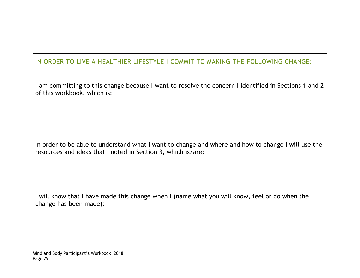### IN ORDER TO LIVE A HEALTHIER LIFESTYLE I COMMIT TO MAKING THE FOLLOWING CHANGE:

I am committing to this change because I want to resolve the concern I identified in Sections 1 and 2 of this workbook, which is:

In order to be able to understand what I want to change and where and how to change I will use the resources and ideas that I noted in Section 3, which is/are:

I will know that I have made this change when I (name what you will know, feel or do when the change has been made):